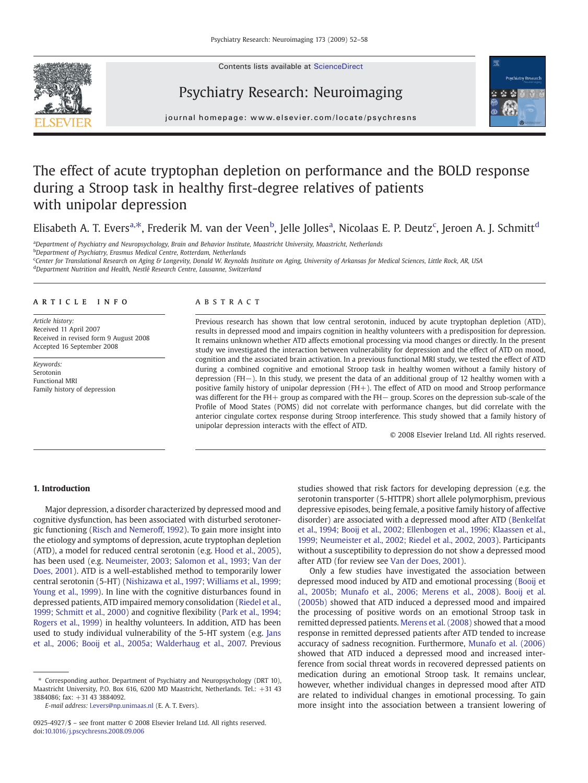Contents lists available at ScienceDirect







journal homepage: www.elsevier.com/locate/psychresns

# The effect of acute tryptophan depletion on performance and the BOLD response during a Stroop task in healthy first-degree relatives of patients with unipolar depression

Elisabeth A. T. Evers<sup>a,\*</sup>, Frederik M. van der Veen<sup>b</sup>, Jelle Jolles<sup>a</sup>, Nicolaas E. P. Deutz<sup>c</sup>, Jeroen A. J. Schmitt<sup>d</sup>

a Department of Psychiatry and Neuropsychology, Brain and Behavior Institute, Maastricht University, Maastricht, Netherlands <sup>b</sup>Department of Psychiatry, Erasmus Medical Centre, Rotterdam, Netherlands

<sup>c</sup>Center for Translational Research on Aging & Longevity, Donald W. Reynolds Institute on Aging, University of Arkansas for Medical Sciences, Little Rock, AR, USA

<sup>d</sup>Department Nutrition and Health, Nestlé Research Centre, Lausanne, Switzerland

## article info abstract

Article history: Received 11 April 2007 Received in revised form 9 August 2008 Accepted 16 September 2008

Keywords: Serotonin Functional MRI Family history of depression

Previous research has shown that low central serotonin, induced by acute tryptophan depletion (ATD), results in depressed mood and impairs cognition in healthy volunteers with a predisposition for depression. It remains unknown whether ATD affects emotional processing via mood changes or directly. In the present study we investigated the interaction between vulnerability for depression and the effect of ATD on mood, cognition and the associated brain activation. In a previous functional MRI study, we tested the effect of ATD during a combined cognitive and emotional Stroop task in healthy women without a family history of depression (FH−). In this study, we present the data of an additional group of 12 healthy women with a positive family history of unipolar depression (FH+). The effect of ATD on mood and Stroop performance was different for the FH+ group as compared with the FH− group. Scores on the depression sub-scale of the Profile of Mood States (POMS) did not correlate with performance changes, but did correlate with the anterior cingulate cortex response during Stroop interference. This study showed that a family history of unipolar depression interacts with the effect of ATD.

© 2008 Elsevier Ireland Ltd. All rights reserved.

### 1. Introduction

Major depression, a disorder characterized by depressed mood and cognitive dysfunction, has been associated with disturbed serotonergic functioning ([Risch and Nemeroff, 1992](#page--1-0)). To gain more insight into the etiology and symptoms of depression, acute tryptophan depletion (ATD), a model for reduced central serotonin (e.g. [Hood et al., 2005](#page--1-0)), has been used (e.g. [Neumeister, 2003; Salomon et al., 1993; Van der](#page--1-0) [Does, 2001](#page--1-0)). ATD is a well-established method to temporarily lower central serotonin (5-HT) ([Nishizawa et al., 1997; Williams et al., 1999;](#page--1-0) [Young et al., 1999](#page--1-0)). In line with the cognitive disturbances found in depressed patients, ATD impaired memory consolidation ([Riedel et al.,](#page--1-0) [1999; Schmitt et al., 2000](#page--1-0)) and cognitive flexibility ([Park et al., 1994;](#page--1-0) [Rogers et al., 1999\)](#page--1-0) in healthy volunteers. In addition, ATD has been used to study individual vulnerability of the 5-HT system (e.g. [Jans](#page--1-0) [et al., 2006; Booij et al., 2005a; Walderhaug et al., 2007.](#page--1-0) Previous

studies showed that risk factors for developing depression (e.g. the serotonin transporter (5-HTTPR) short allele polymorphism, previous depressive episodes, being female, a positive family history of affective disorder) are associated with a depressed mood after ATD ([Benkelfat](#page--1-0) [et al., 1994; Booij et al., 2002; Ellenbogen et al., 1996; Klaassen et al.,](#page--1-0) [1999; Neumeister et al., 2002; Riedel et al., 2002, 2003](#page--1-0)). Participants without a susceptibility to depression do not show a depressed mood after ATD (for review see [Van der Does, 2001\)](#page--1-0).

Only a few studies have investigated the association between depressed mood induced by ATD and emotional processing [\(Booij et](#page--1-0) [al., 2005b; Munafo et al., 2006; Merens et al., 2008](#page--1-0)). [Booij et al.](#page--1-0) [\(2005b\)](#page--1-0) showed that ATD induced a depressed mood and impaired the processing of positive words on an emotional Stroop task in remitted depressed patients. [Merens et al. \(2008\)](#page--1-0) showed that a mood response in remitted depressed patients after ATD tended to increase accuracy of sadness recognition. Furthermore, [Munafo et al. \(2006\)](#page--1-0) showed that ATD induced a depressed mood and increased interference from social threat words in recovered depressed patients on medication during an emotional Stroop task. It remains unclear, however, whether individual changes in depressed mood after ATD are related to individual changes in emotional processing. To gain more insight into the association between a transient lowering of

<sup>⁎</sup> Corresponding author. Department of Psychiatry and Neuropsychology (DRT 10), Maastricht University, P.O. Box 616, 6200 MD Maastricht, Netherlands. Tel.: +31 43 3884086; fax: +31 43 3884092.

E-mail address: [l.evers@np.unimaas.nl](mailto:l.evers@np.unimaas.nl) (E. A. T. Evers).

<sup>0925-4927/\$</sup> – see front matter © 2008 Elsevier Ireland Ltd. All rights reserved. doi[:10.1016/j.pscychresns.2008.09.006](http://dx.doi.org/10.1016/j.pscychresns.2008.09.006)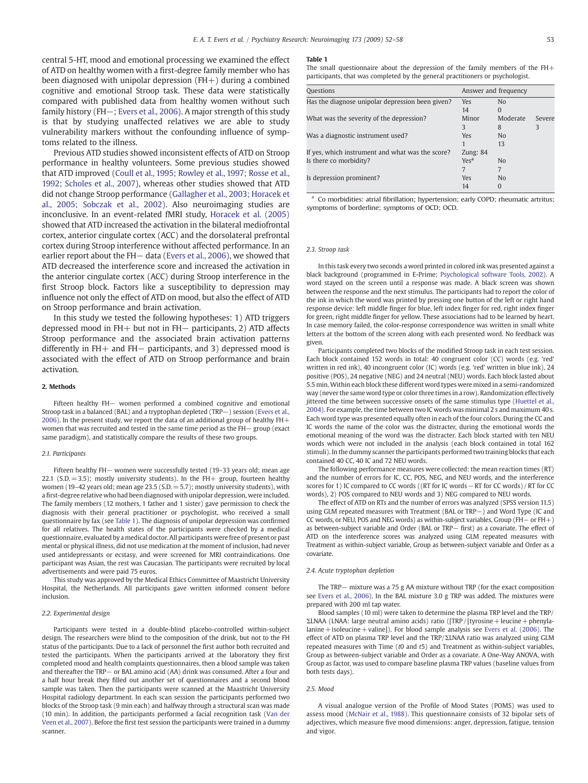central 5-HT, mood and emotional processing we examined the effect of ATD on healthy women with a first-degree family member who has been diagnosed with unipolar depression  $(FH+)$  during a combined cognitive and emotional Stroop task. These data were statistically compared with published data from healthy women without such family history (FH−; [Evers et al., 2006](#page--1-0)). A major strength of this study is that by studying unaffected relatives we are able to study vulnerability markers without the confounding influence of symptoms related to the illness.

Previous ATD studies showed inconsistent effects of ATD on Stroop performance in healthy volunteers. Some previous studies showed that ATD improved ([Coull et al., 1995; Rowley et al., 1997; Rosse et al.,](#page--1-0) [1992; Scholes et al., 2007](#page--1-0)), whereas other studies showed that ATD did not change Stroop performance ([Gallagher et al., 2003; Horacek et](#page--1-0) [al., 2005; Sobczak et al., 2002](#page--1-0)). Also neuroimaging studies are inconclusive. In an event-related fMRI study, [Horacek et al. \(2005\)](#page--1-0) showed that ATD increased the activation in the bilateral mediofrontal cortex, anterior cingulate cortex (ACC) and the dorsolateral prefrontal cortex during Stroop interference without affected performance. In an earlier report about the FH– data ([Evers et al., 2006](#page--1-0)), we showed that ATD decreased the interference score and increased the activation in the anterior cingulate cortex (ACC) during Stroop interference in the first Stroop block. Factors like a susceptibility to depression may influence not only the effect of ATD on mood, but also the effect of ATD on Stroop performance and brain activation.

In this study we tested the following hypotheses: 1) ATD triggers depressed mood in FH+ but not in FH− participants, 2) ATD affects Stroop performance and the associated brain activation patterns differently in FH+ and FH− participants, and 3) depressed mood is associated with the effect of ATD on Stroop performance and brain activation.

#### 2. Methods

Fifteen healthy FH− women performed a combined cognitive and emotional Stroop task in a balanced (BAL) and a tryptophan depleted (TRP−) session [\(Evers et al.,](#page--1-0) [2006](#page--1-0)). In the present study, we report the data of an additional group of healthy FH+ women that was recruited and tested in the same time period as the FH− group (exact same paradigm), and statistically compare the results of these two groups.

#### 2.1. Participants

Fifteen healthy FH− women were successfully tested (19–33 years old; mean age 22.1 (S.D.  $= 3.5$ ); mostly university students). In the FH+ group, fourteen healthy women (19-42 years old; mean age 23.5 (S.D. = 5.7); mostly university students), with a first-degree relative who had been diagnosed with unipolar depression, were included. The family members (12 mothers, 1 father and 1 sister) gave permission to check the diagnosis with their general practitioner or psychologist, who received a small questionnaire by fax (see Table 1). The diagnosis of unipolar depression was confirmed for all relatives. The health states of the participants were checked by a medical questionnaire, evaluated by a medical doctor. All participants were free of present or past mental or physical illness, did not use medication at the moment of inclusion, had never used antidepressants or ecstasy, and were screened for MRI contraindications. One participant was Asian, the rest was Caucasian. The participants were recruited by local advertisements and were paid 75 euros.

This study was approved by the Medical Ethics Committee of Maastricht University Hospital, the Netherlands. All participants gave written informed consent before inclusion.

#### 2.2. Experimental design

Participants were tested in a double-blind placebo-controlled within-subject design. The researchers were blind to the composition of the drink, but not to the FH status of the participants. Due to a lack of personnel the first author both recruited and tested the participants. When the participants arrived at the laboratory they first completed mood and health complaints questionnaires, then a blood sample was taken and thereafter the TRP− or BAL amino acid (AA) drink was consumed. After a four and a half hour break they filled out another set of questionnaires and a second blood sample was taken. Then the participants were scanned at the Maastricht University Hospital radiology department. In each scan session the participants performed two blocks of the Stroop task (9 min each) and halfway through a structural scan was made (10 min). In addition, the participants performed a facial recognition task ([Van der](#page--1-0) [Veen et al., 2007\)](#page--1-0). Before the first test session the participants were trained in a dummy scanner.

#### Table 1

The small questionnaire about the depression of the family members of the FH+ participants, that was completed by the general practitioners or psychologist.

| <b>Ouestions</b>                                 | Answer and frequency |                |        |
|--------------------------------------------------|----------------------|----------------|--------|
| Has the diagnose unipolar depression been given? | Yes                  | N <sub>o</sub> |        |
|                                                  | 14                   | $\Omega$       |        |
| What was the severity of the depression?         | Minor                | Moderate       | Severe |
|                                                  | 3                    | 8              | 3      |
| Was a diagnostic instrument used?                | Yes                  | N <sub>0</sub> |        |
|                                                  |                      | 13             |        |
| If yes, which instrument and what was the score? | Zung: $84$           |                |        |
| Is there co morbidity?                           | Yes <sup>a</sup>     | N <sub>0</sub> |        |
|                                                  | 7                    | 7              |        |
| Is depression prominent?                         | Yes                  | N <sub>0</sub> |        |
|                                                  | 14                   | $\Omega$       |        |

Co morbidities: atrial fibrillation; hypertension; early COPD; rheumatic artritus; symptoms of borderline; symptoms of OCD; OCD.

#### 2.3. Stroop task

In this task every two seconds a word printed in colored ink was presented against a black background (programmed in E-Prime; [Psychological software Tools, 2002](#page--1-0)). A word stayed on the screen until a response was made. A black screen was shown between the response and the next stimulus. The participants had to report the color of the ink in which the word was printed by pressing one button of the left or right hand response device: left middle finger for blue, left index finger for red, right index finger for green, right middle finger for yellow. These associations had to be learned by heart. In case memory failed, the color-response correspondence was written in small white letters at the bottom of the screen along with each presented word. No feedback was given.

Participants completed two blocks of the modified Stroop task in each test session. Each block contained 152 words in total: 40 congruent color (CC) words (e.g. 'red' written in red ink), 40 incongruent color (IC) words (e.g. 'red' written in blue ink), 24 positive (POS), 24 negative (NEG) and 24 neutral (NEU) words. Each block lasted about 5.5 min. Within each block these different word types were mixed in a semi-randomized way (never the same word type or color three times in a row). Randomization effectively jittered the time between successive onsets of the same stimulus type [\(Huettel et al.,](#page--1-0) [2004](#page--1-0)). For example, the time between two IC words was minimal 2 s and maximum 40 s. Each word type was presented equally often in each of the four colors. During the CC and IC words the name of the color was the distracter, during the emotional words the emotional meaning of the word was the distracter. Each block started with ten NEU words which were not included in the analysis (each block contained in total 162 stimuli). In the dummy scanner the participants performed two training blocks that each contained 40 CC, 40 IC and 72 NEU words.

The following performance measures were collected: the mean reaction times (RT) and the number of errors for IC, CC, POS, NEG, and NEU words, and the interference scores for 1) IC compared to CC words ((RT for IC words − RT for CC words) / RT for CC words), 2) POS compared to NEU words and 3) NEG compared to NEU words.

The effect of ATD on RTs and the number of errors was analyzed (SPSS version 11.5) using GLM repeated measures with Treatment (BAL or TRP−) and Word Type (IC and CC words, or NEU, POS and NEG words) as within-subject variables, Group (FH− or FH+) as between-subject variable and Order (BAL or TRP– first) as a covariate. The effect of ATD on the interference scores was analyzed using GLM repeated measures with Treatment as within-subject variable, Group as between-subject variable and Order as a covariate.

#### 2.4. Acute tryptophan depletion

The TRP− mixture was a 75 g AA mixture without TRP (for the exact composition see [Evers et al., 2006\)](#page--1-0). In the BAL mixture 3.0 g TRP was added. The mixtures were prepared with 200 ml tap water.

Blood samples (10 ml) were taken to determine the plasma TRP level and the TRP/ ΣLNAA (LNAA: large neutral amino acids) ratio ([TRP / [tyrosine+leucine+phenylalanine + isoleucine + valine]). For blood sample analysis see Evers et al.  $(2006)$ . The effect of ATD on plasma TRP level and the TRP/ΣLNAA ratio was analyzed using GLM repeated measures with Time (t0 and t5) and Treatment as within-subject variables, Group as between-subject variable and Order as a covariate. A One-Way ANOVA, with Group as factor, was used to compare baseline plasma TRP values (baseline values from both tests days).

### 2.5. Mood

A visual analogue version of the Profile of Mood States (POMS) was used to assess mood [\(McNair et al., 1988](#page--1-0)). This questionnaire consists of 32 bipolar sets of adjectives, which measure five mood dimensions: anger, depression, fatigue, tension and vigor.